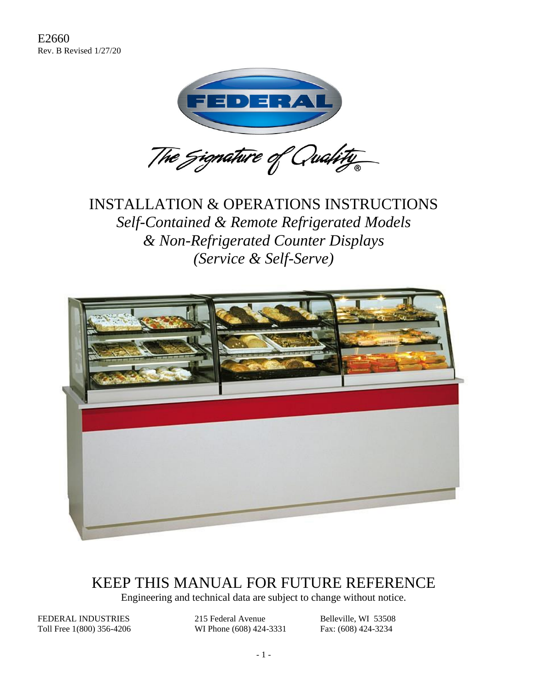

### INSTALLATION & OPERATIONS INSTRUCTIONS *Self-Contained & Remote Refrigerated Models & Non-Refrigerated Counter Displays (Service & Self-Serve)*



### KEEP THIS MANUAL FOR FUTURE REFERENCE

Engineering and technical data are subject to change without notice.

FEDERAL INDUSTRIES 215 Federal Avenue Belleville, WI 53508 Toll Free 1(800) 356-4206 WI Phone (608) 424-3331 Fax: (608) 424-3234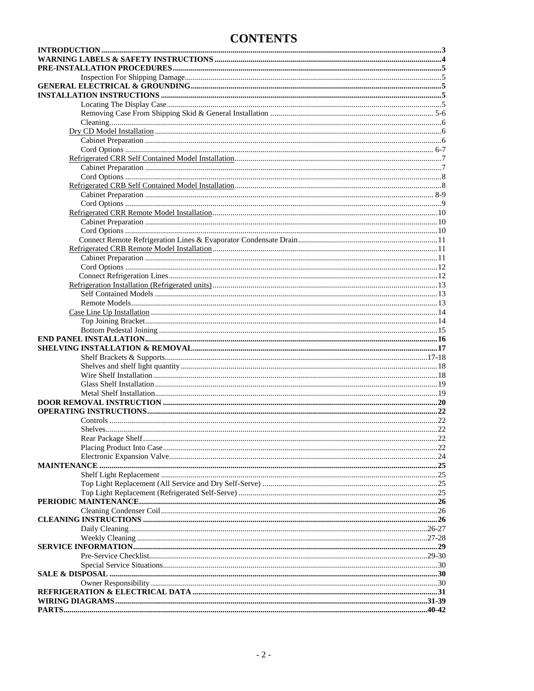### **CONTENTS**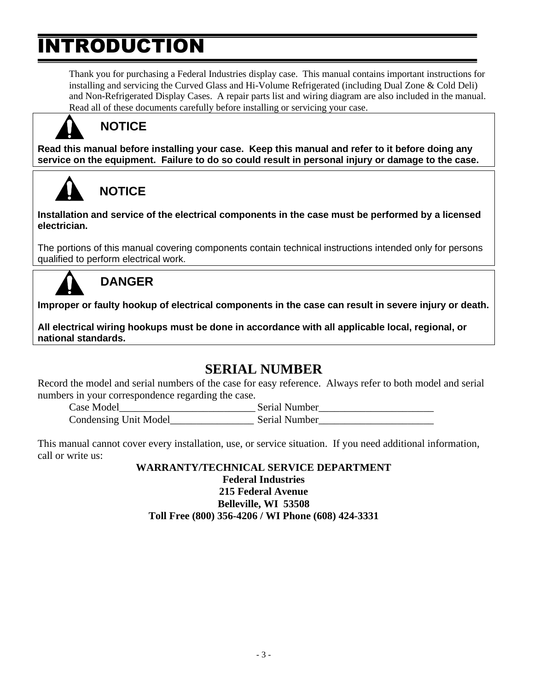## **INTRODUCTION**

Thank you for purchasing a Federal Industries display case. This manual contains important instructions for installing and servicing the Curved Glass and Hi-Volume Refrigerated (including Dual Zone & Cold Deli) and Non-Refrigerated Display Cases. A repair parts list and wiring diagram are also included in the manual. Read all of these documents carefully before installing or servicing your case.



### **NOTICE**

**Read this manual before installing your case. Keep this manual and refer to it before doing any service on the equipment. Failure to do so could result in personal injury or damage to the case.**

# **NOTICE**

**Installation and service of the electrical components in the case must be performed by a licensed electrician.**

The portions of this manual covering components contain technical instructions intended only for persons qualified to perform electrical work.



### **DANGER**

**Improper or faulty hookup of electrical components in the case can result in severe injury or death.**

**All electrical wiring hookups must be done in accordance with all applicable local, regional, or national standards.**

### **SERIAL NUMBER**

Record the model and serial numbers of the case for easy reference. Always refer to both model and serial numbers in your correspondence regarding the case.

Case Model **Serial Number** Condensing Unit Model Serial Number

This manual cannot cover every installation, use, or service situation. If you need additional information, call or write us:

**WARRANTY/TECHNICAL SERVICE DEPARTMENT Federal Industries 215 Federal Avenue Belleville, WI 53508 Toll Free (800) 356-4206 / WI Phone (608) 424-3331**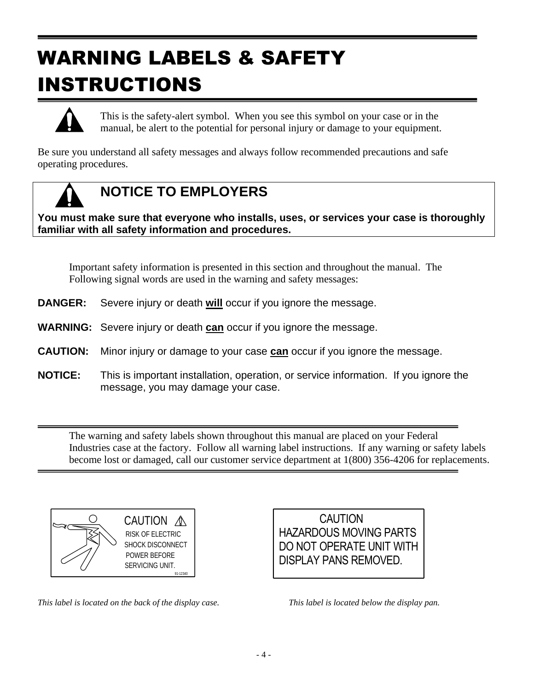# WARNING LABELS & SAFETY INSTRUCTIONS



This is the safety-alert symbol. When you see this symbol on your case or in the manual, be alert to the potential for personal injury or damage to your equipment.

Be sure you understand all safety messages and always follow recommended precautions and safe operating procedures.



### **NOTICE TO EMPLOYERS**

**You must make sure that everyone who installs, uses, or services your case is thoroughly familiar with all safety information and procedures.**

Important safety information is presented in this section and throughout the manual. The Following signal words are used in the warning and safety messages:

- **DANGER:** Severe injury or death **will** occur if you ignore the message.
- **WARNING:** Severe injury or death **can** occur if you ignore the message.
- **CAUTION:** Minor injury or damage to your case **can** occur if you ignore the message.
- **NOTICE:** This is important installation, operation, or service information. If you ignore the message, you may damage your case.

The warning and safety labels shown throughout this manual are placed on your Federal Industries case at the factory. Follow all warning label instructions. If any warning or safety labels become lost or damaged, call our customer service department at 1(800) 356-4206 for replacements.



CAUTION A POWER BEFORE RISK OF ELECTRIC SHOCK DISCONNECT SERVICING UNIT.



*This label is located on the back of the display case. This label is located below the display pan.*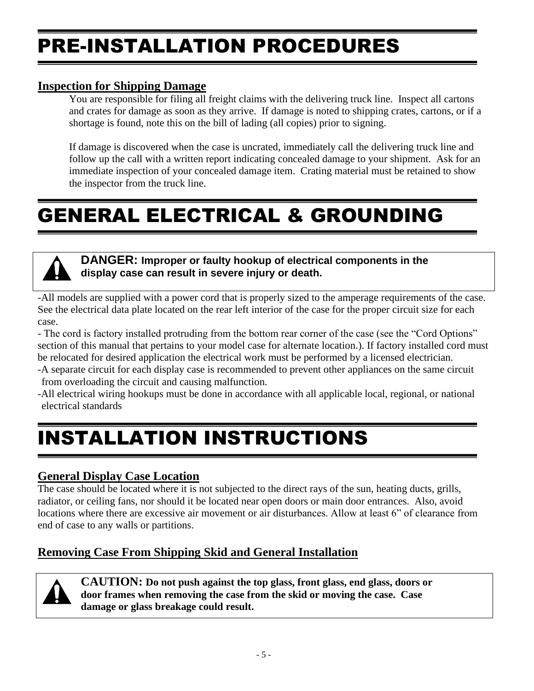## PRE-INSTALLATION PROCEDURES

### **Inspection for Shipping Damage**

You are responsible for filing all freight claims with the delivering truck line. Inspect all cartons and crates for damage as soon as they arrive. If damage is noted to shipping crates, cartons, or if a shortage is found, note this on the bill of lading (all copies) prior to signing.

If damage is discovered when the case is uncrated, immediately call the delivering truck line and follow up the call with a written report indicating concealed damage to your shipment. Ask for an immediate inspection of your concealed damage item. Crating material must be retained to show the inspector from the truck line.

# GENERAL ELECTRICAL & GROUNDING



### **DANGER: Improper or faulty hookup of electrical components in the display case can result in severe injury or death.**

-All models are supplied with a power cord that is properly sized to the amperage requirements of the case. See the electrical data plate located on the rear left interior of the case for the proper circuit size for each case.

- The cord is factory installed protruding from the bottom rear corner of the case (see the "Cord Options" section of this manual that pertains to your model case for alternate location.). If factory installed cord must be relocated for desired application the electrical work must be performed by a licensed electrician.

-A separate circuit for each display case is recommended to prevent other appliances on the same circuit from overloading the circuit and causing malfunction.

-All electrical wiring hookups must be done in accordance with all applicable local, regional, or national electrical standards

# INSTALLATION INSTRUCTIONS

### **General Display Case Location**

The case should be located where it is not subjected to the direct rays of the sun, heating ducts, grills, radiator, or ceiling fans, nor should it be located near open doors or main door entrances. Also, avoid locations where there are excessive air movement or air disturbances. Allow at least 6" of clearance from end of case to any walls or partitions.

### **Removing Case From Shipping Skid and General Installation**



**CAUTION: Do not push against the top glass, front glass, end glass, doors or door frames when removing the case from the skid or moving the case. Case damage or glass breakage could result.**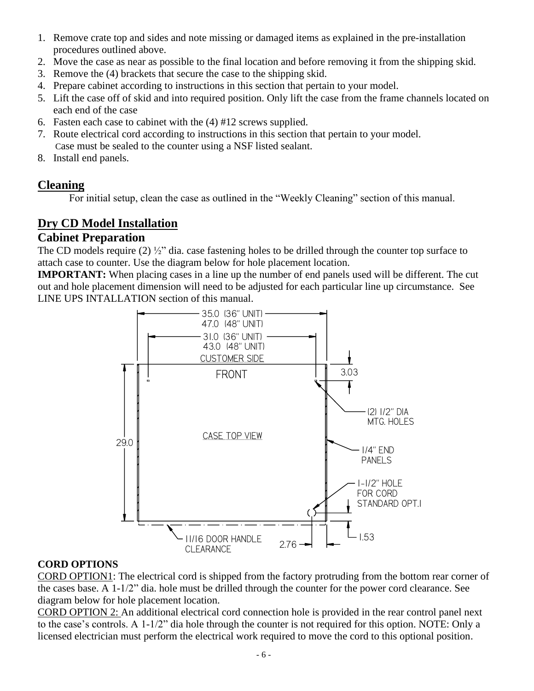- 1. Remove crate top and sides and note missing or damaged items as explained in the pre-installation procedures outlined above.
- 2. Move the case as near as possible to the final location and before removing it from the shipping skid.
- 3. Remove the (4) brackets that secure the case to the shipping skid.
- 4. Prepare cabinet according to instructions in this section that pertain to your model.
- 5. Lift the case off of skid and into required position. Only lift the case from the frame channels located on each end of the case
- 6. Fasten each case to cabinet with the (4) #12 screws supplied.
- 7. Route electrical cord according to instructions in this section that pertain to your model. Case must be sealed to the counter using a NSF listed sealant.
- 8. Install end panels.

### **Cleaning**

For initial setup, clean the case as outlined in the "Weekly Cleaning" section of this manual.

### **Dry CD Model Installation**

### **Cabinet Preparation**

The CD models require (2) ½" dia. case fastening holes to be drilled through the counter top surface to attach case to counter. Use the diagram below for hole placement location.

**IMPORTANT:** When placing cases in a line up the number of end panels used will be different. The cut out and hole placement dimension will need to be adjusted for each particular line up circumstance. See LINE UPS INTALLATION section of this manual.



### **CORD OPTIONS**

CORD OPTION1: The electrical cord is shipped from the factory protruding from the bottom rear corner of the cases base. A 1-1/2" dia. hole must be drilled through the counter for the power cord clearance. See diagram below for hole placement location.

CORD OPTION 2: An additional electrical cord connection hole is provided in the rear control panel next to the case's controls. A 1-1/2" dia hole through the counter is not required for this option. NOTE: Only a licensed electrician must perform the electrical work required to move the cord to this optional position.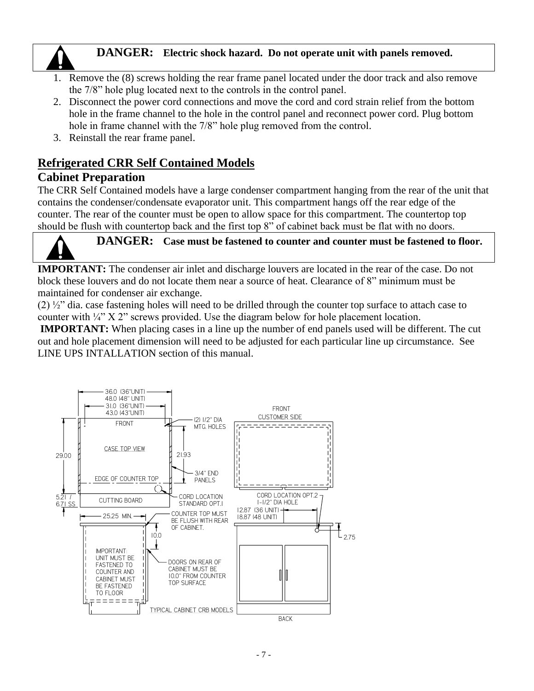### **DANGER: Electric shock hazard. Do not operate unit with panels removed.**

- 1. Remove the (8) screws holding the rear frame panel located under the door track and also remove the 7/8" hole plug located next to the controls in the control panel.
- 2. Disconnect the power cord connections and move the cord and cord strain relief from the bottom hole in the frame channel to the hole in the control panel and reconnect power cord. Plug bottom hole in frame channel with the 7/8" hole plug removed from the control.
- 3. Reinstall the rear frame panel.

### **Refrigerated CRR Self Contained Models**

### **Cabinet Preparation**

The CRR Self Contained models have a large condenser compartment hanging from the rear of the unit that contains the condenser/condensate evaporator unit. This compartment hangs off the rear edge of the counter. The rear of the counter must be open to allow space for this compartment. The countertop top should be flush with countertop back and the first top 8" of cabinet back must be flat with no doors.



**IMPORTANT:** The condenser air inlet and discharge louvers are located in the rear of the case. Do not block these louvers and do not locate them near a source of heat. Clearance of 8" minimum must be maintained for condenser air exchange.

(2) ½" dia. case fastening holes will need to be drilled through the counter top surface to attach case to counter with ¼" X 2" screws provided. Use the diagram below for hole placement location.

**IMPORTANT:** When placing cases in a line up the number of end panels used will be different. The cut out and hole placement dimension will need to be adjusted for each particular line up circumstance. See LINE UPS INTALLATION section of this manual.

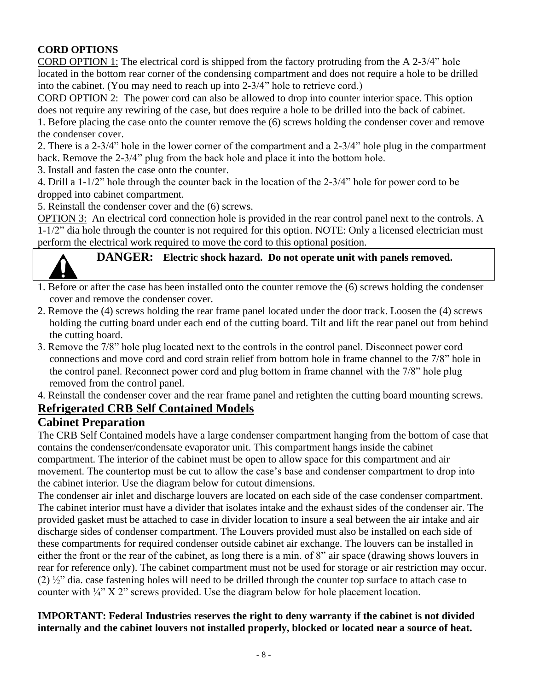### **CORD OPTIONS**

CORD OPTION 1: The electrical cord is shipped from the factory protruding from the A 2-3/4" hole located in the bottom rear corner of the condensing compartment and does not require a hole to be drilled into the cabinet. (You may need to reach up into 2-3/4" hole to retrieve cord.)

CORD OPTION 2: The power cord can also be allowed to drop into counter interior space. This option does not require any rewiring of the case, but does require a hole to be drilled into the back of cabinet.

1. Before placing the case onto the counter remove the (6) screws holding the condenser cover and remove the condenser cover.

2. There is a 2-3/4" hole in the lower corner of the compartment and a 2-3/4" hole plug in the compartment back. Remove the 2-3/4" plug from the back hole and place it into the bottom hole.

3. Install and fasten the case onto the counter.

4. Drill a 1-1/2" hole through the counter back in the location of the 2-3/4" hole for power cord to be dropped into cabinet compartment.

5. Reinstall the condenser cover and the (6) screws.

OPTION 3: An electrical cord connection hole is provided in the rear control panel next to the controls. A  $1-1/2$ " dia hole through the counter is not required for this option. NOTE: Only a licensed electrician must perform the electrical work required to move the cord to this optional position.



# **DANGER: Electric shock hazard. Do not operate unit with panels removed.**

- 1. Before or after the case has been installed onto the counter remove the (6) screws holding the condenser cover and remove the condenser cover.
- 2. Remove the (4) screws holding the rear frame panel located under the door track. Loosen the (4) screws holding the cutting board under each end of the cutting board. Tilt and lift the rear panel out from behind the cutting board.
- 3. Remove the 7/8" hole plug located next to the controls in the control panel. Disconnect power cord connections and move cord and cord strain relief from bottom hole in frame channel to the 7/8" hole in the control panel. Reconnect power cord and plug bottom in frame channel with the 7/8" hole plug removed from the control panel.

4. Reinstall the condenser cover and the rear frame panel and retighten the cutting board mounting screws.

### **Refrigerated CRB Self Contained Models**

### **Cabinet Preparation**

The CRB Self Contained models have a large condenser compartment hanging from the bottom of case that contains the condenser/condensate evaporator unit. This compartment hangs inside the cabinet compartment. The interior of the cabinet must be open to allow space for this compartment and air movement. The countertop must be cut to allow the case's base and condenser compartment to drop into the cabinet interior. Use the diagram below for cutout dimensions.

The condenser air inlet and discharge louvers are located on each side of the case condenser compartment. The cabinet interior must have a divider that isolates intake and the exhaust sides of the condenser air. The provided gasket must be attached to case in divider location to insure a seal between the air intake and air discharge sides of condenser compartment. The Louvers provided must also be installed on each side of these compartments for required condenser outside cabinet air exchange. The louvers can be installed in either the front or the rear of the cabinet, as long there is a min. of 8" air space (drawing shows louvers in rear for reference only). The cabinet compartment must not be used for storage or air restriction may occur. (2) ½" dia. case fastening holes will need to be drilled through the counter top surface to attach case to counter with  $\frac{1}{4}$ " X 2" screws provided. Use the diagram below for hole placement location.

#### **IMPORTANT: Federal Industries reserves the right to deny warranty if the cabinet is not divided internally and the cabinet louvers not installed properly, blocked or located near a source of heat.**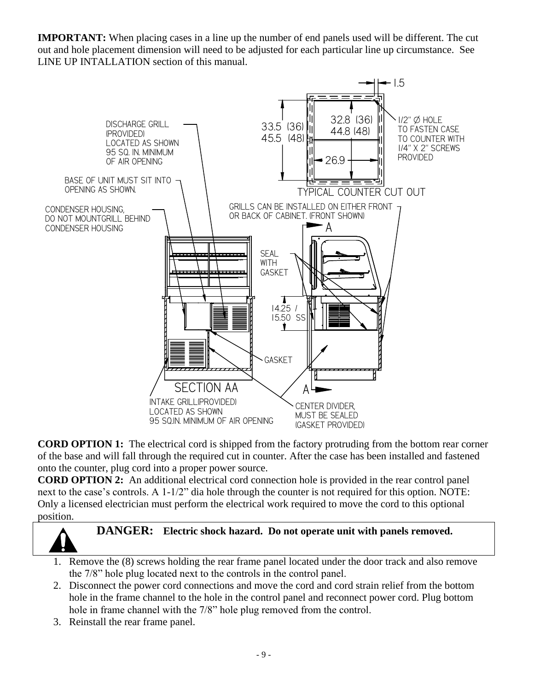**IMPORTANT:** When placing cases in a line up the number of end panels used will be different. The cut out and hole placement dimension will need to be adjusted for each particular line up circumstance. See LINE UP INTALLATION section of this manual.



**CORD OPTION 1:** The electrical cord is shipped from the factory protruding from the bottom rear corner of the base and will fall through the required cut in counter. After the case has been installed and fastened onto the counter, plug cord into a proper power source.

**CORD OPTION 2:** An additional electrical cord connection hole is provided in the rear control panel next to the case's controls. A 1-1/2" dia hole through the counter is not required for this option. NOTE: Only a licensed electrician must perform the electrical work required to move the cord to this optional position.



- 1. Remove the (8) screws holding the rear frame panel located under the door track and also remove the 7/8" hole plug located next to the controls in the control panel.
- 2. Disconnect the power cord connections and move the cord and cord strain relief from the bottom hole in the frame channel to the hole in the control panel and reconnect power cord. Plug bottom hole in frame channel with the 7/8" hole plug removed from the control.
- 3. Reinstall the rear frame panel.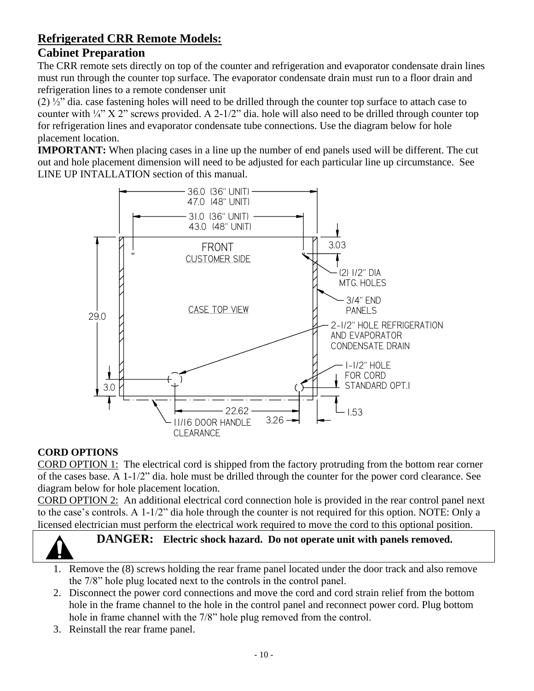### **Refrigerated CRR Remote Models:**

### **Cabinet Preparation**

The CRR remote sets directly on top of the counter and refrigeration and evaporator condensate drain lines must run through the counter top surface. The evaporator condensate drain must run to a floor drain and refrigeration lines to a remote condenser unit

(2) ½" dia. case fastening holes will need to be drilled through the counter top surface to attach case to counter with ¼" X 2" screws provided. A 2-1/2" dia. hole will also need to be drilled through counter top for refrigeration lines and evaporator condensate tube connections. Use the diagram below for hole placement location.

**IMPORTANT:** When placing cases in a line up the number of end panels used will be different. The cut out and hole placement dimension will need to be adjusted for each particular line up circumstance. See LINE UP INTALLATION section of this manual.



### **CORD OPTIONS**

CORD OPTION 1: The electrical cord is shipped from the factory protruding from the bottom rear corner of the cases base. A 1-1/2" dia. hole must be drilled through the counter for the power cord clearance. See diagram below for hole placement location.

CORD OPTION 2: An additional electrical cord connection hole is provided in the rear control panel next to the case's controls. A 1-1/2" dia hole through the counter is not required for this option. NOTE: Only a licensed electrician must perform the electrical work required to move the cord to this optional position.



## **DANGER: Electric shock hazard. Do not operate unit with panels removed.**

- 1. Remove the (8) screws holding the rear frame panel located under the door track and also remove the 7/8" hole plug located next to the controls in the control panel.
- 2. Disconnect the power cord connections and move the cord and cord strain relief from the bottom hole in the frame channel to the hole in the control panel and reconnect power cord. Plug bottom hole in frame channel with the 7/8" hole plug removed from the control.
- 3. Reinstall the rear frame panel.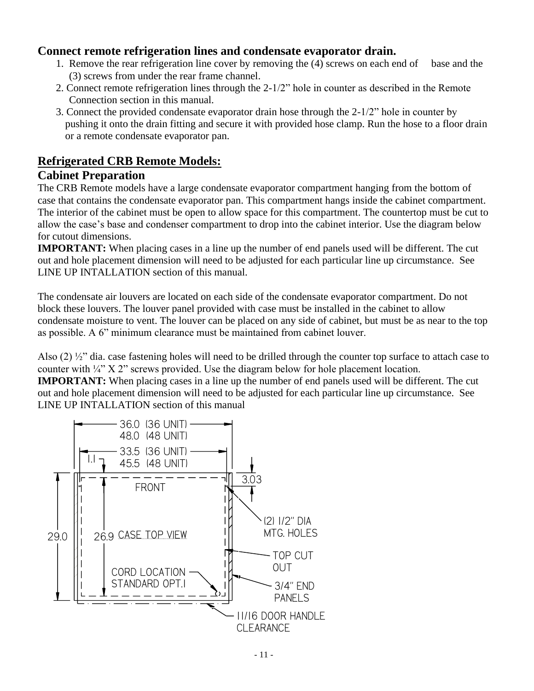### **Connect remote refrigeration lines and condensate evaporator drain.**

- 1. Remove the rear refrigeration line cover by removing the (4) screws on each end of base and the (3) screws from under the rear frame channel.
- 2. Connect remote refrigeration lines through the 2-1/2" hole in counter as described in the Remote Connection section in this manual.
- 3. Connect the provided condensate evaporator drain hose through the 2-1/2" hole in counter by pushing it onto the drain fitting and secure it with provided hose clamp. Run the hose to a floor drain or a remote condensate evaporator pan.

### **Refrigerated CRB Remote Models:**

### **Cabinet Preparation**

The CRB Remote models have a large condensate evaporator compartment hanging from the bottom of case that contains the condensate evaporator pan. This compartment hangs inside the cabinet compartment. The interior of the cabinet must be open to allow space for this compartment. The countertop must be cut to allow the case's base and condenser compartment to drop into the cabinet interior. Use the diagram below for cutout dimensions.

**IMPORTANT:** When placing cases in a line up the number of end panels used will be different. The cut out and hole placement dimension will need to be adjusted for each particular line up circumstance. See LINE UP INTALLATION section of this manual.

The condensate air louvers are located on each side of the condensate evaporator compartment. Do not block these louvers. The louver panel provided with case must be installed in the cabinet to allow condensate moisture to vent. The louver can be placed on any side of cabinet, but must be as near to the top as possible. A 6" minimum clearance must be maintained from cabinet louver.

Also (2) ½" dia. case fastening holes will need to be drilled through the counter top surface to attach case to counter with ¼" X 2" screws provided. Use the diagram below for hole placement location.

**IMPORTANT:** When placing cases in a line up the number of end panels used will be different. The cut out and hole placement dimension will need to be adjusted for each particular line up circumstance. See LINE UP INTALLATION section of this manual

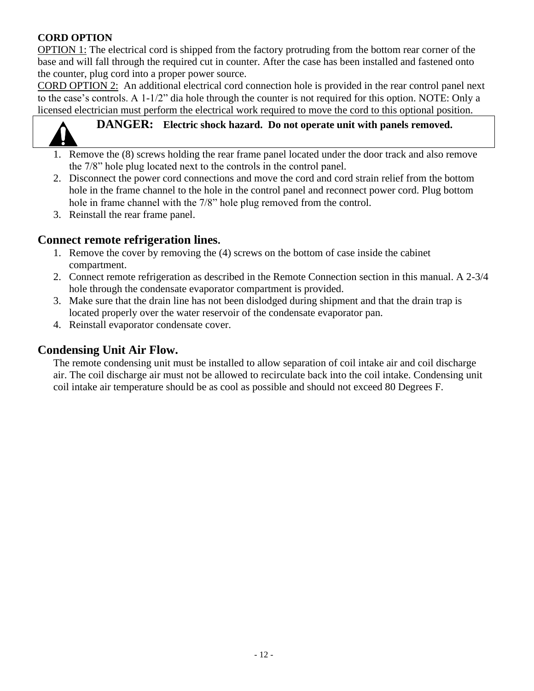### **CORD OPTION**

OPTION 1: The electrical cord is shipped from the factory protruding from the bottom rear corner of the base and will fall through the required cut in counter. After the case has been installed and fastened onto the counter, plug cord into a proper power source.

CORD OPTION 2: An additional electrical cord connection hole is provided in the rear control panel next to the case's controls. A 1-1/2" dia hole through the counter is not required for this option. NOTE: Only a licensed electrician must perform the electrical work required to move the cord to this optional position.



### **DANGER: Electric shock hazard. Do not operate unit with panels removed.**

- 1. Remove the (8) screws holding the rear frame panel located under the door track and also remove the 7/8" hole plug located next to the controls in the control panel.
- 2. Disconnect the power cord connections and move the cord and cord strain relief from the bottom hole in the frame channel to the hole in the control panel and reconnect power cord. Plug bottom hole in frame channel with the 7/8" hole plug removed from the control.
- 3. Reinstall the rear frame panel.

### **Connect remote refrigeration lines.**

- 1. Remove the cover by removing the (4) screws on the bottom of case inside the cabinet compartment.
- 2. Connect remote refrigeration as described in the Remote Connection section in this manual. A 2-3/4 hole through the condensate evaporator compartment is provided.
- 3. Make sure that the drain line has not been dislodged during shipment and that the drain trap is located properly over the water reservoir of the condensate evaporator pan.
- 4. Reinstall evaporator condensate cover.

### **Condensing Unit Air Flow.**

The remote condensing unit must be installed to allow separation of coil intake air and coil discharge air. The coil discharge air must not be allowed to recirculate back into the coil intake. Condensing unit coil intake air temperature should be as cool as possible and should not exceed 80 Degrees F.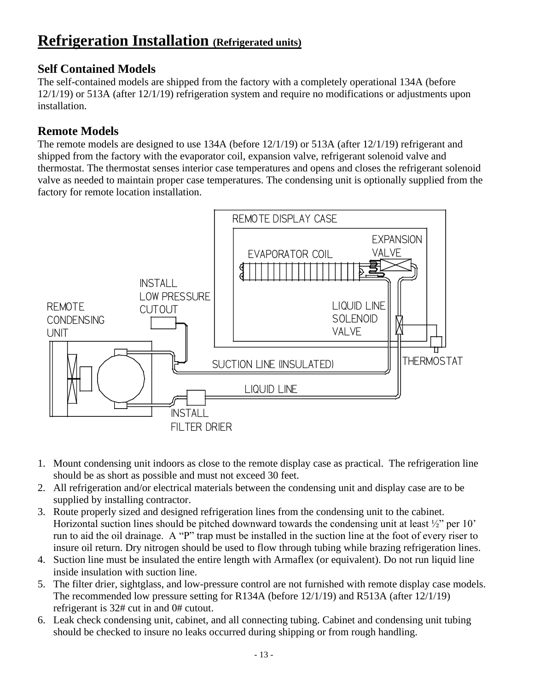### **Refrigeration Installation (Refrigerated units)**

### **Self Contained Models**

The self-contained models are shipped from the factory with a completely operational 134A (before 12/1/19) or 513A (after 12/1/19) refrigeration system and require no modifications or adjustments upon installation.

### **Remote Models**

The remote models are designed to use 134A (before 12/1/19) or 513A (after 12/1/19) refrigerant and shipped from the factory with the evaporator coil, expansion valve, refrigerant solenoid valve and thermostat. The thermostat senses interior case temperatures and opens and closes the refrigerant solenoid valve as needed to maintain proper case temperatures. The condensing unit is optionally supplied from the factory for remote location installation.



- 1. Mount condensing unit indoors as close to the remote display case as practical. The refrigeration line should be as short as possible and must not exceed 30 feet.
- 2. All refrigeration and/or electrical materials between the condensing unit and display case are to be supplied by installing contractor.
- 3. Route properly sized and designed refrigeration lines from the condensing unit to the cabinet. Horizontal suction lines should be pitched downward towards the condensing unit at least ½" per 10' run to aid the oil drainage. A "P" trap must be installed in the suction line at the foot of every riser to insure oil return. Dry nitrogen should be used to flow through tubing while brazing refrigeration lines.
- 4. Suction line must be insulated the entire length with Armaflex (or equivalent). Do not run liquid line inside insulation with suction line.
- 5. The filter drier, sightglass, and low-pressure control are not furnished with remote display case models. The recommended low pressure setting for R134A (before 12/1/19) and R513A (after 12/1/19) refrigerant is 32# cut in and 0# cutout.
- 6. Leak check condensing unit, cabinet, and all connecting tubing. Cabinet and condensing unit tubing should be checked to insure no leaks occurred during shipping or from rough handling.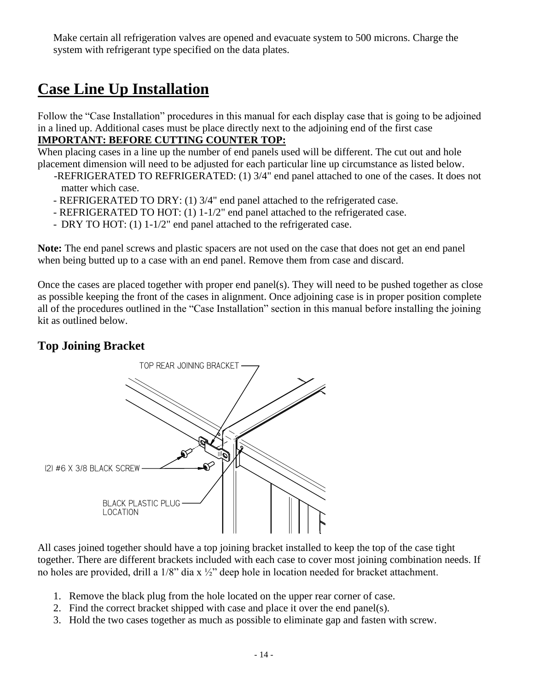Make certain all refrigeration valves are opened and evacuate system to 500 microns. Charge the system with refrigerant type specified on the data plates.

### **Case Line Up Installation**

Follow the "Case Installation" procedures in this manual for each display case that is going to be adjoined in a lined up. Additional cases must be place directly next to the adjoining end of the first case **IMPORTANT: BEFORE CUTTING COUNTER TOP:**

When placing cases in a line up the number of end panels used will be different. The cut out and hole

- placement dimension will need to be adjusted for each particular line up circumstance as listed below. -REFRIGERATED TO REFRIGERATED: (1) 3/4" end panel attached to one of the cases. It does not
	- matter which case.
	- REFRIGERATED TO DRY: (1) 3/4" end panel attached to the refrigerated case.
	- REFRIGERATED TO HOT: (1) 1-1/2" end panel attached to the refrigerated case.
	- DRY TO HOT: (1) 1-1/2" end panel attached to the refrigerated case.

**Note:** The end panel screws and plastic spacers are not used on the case that does not get an end panel when being butted up to a case with an end panel. Remove them from case and discard.

Once the cases are placed together with proper end panel(s). They will need to be pushed together as close as possible keeping the front of the cases in alignment. Once adjoining case is in proper position complete all of the procedures outlined in the "Case Installation" section in this manual before installing the joining kit as outlined below.

### **Top Joining Bracket**



All cases joined together should have a top joining bracket installed to keep the top of the case tight together. There are different brackets included with each case to cover most joining combination needs. If no holes are provided, drill a 1/8" dia x ½" deep hole in location needed for bracket attachment.

- 1. Remove the black plug from the hole located on the upper rear corner of case.
- 2. Find the correct bracket shipped with case and place it over the end panel(s).
- 3. Hold the two cases together as much as possible to eliminate gap and fasten with screw.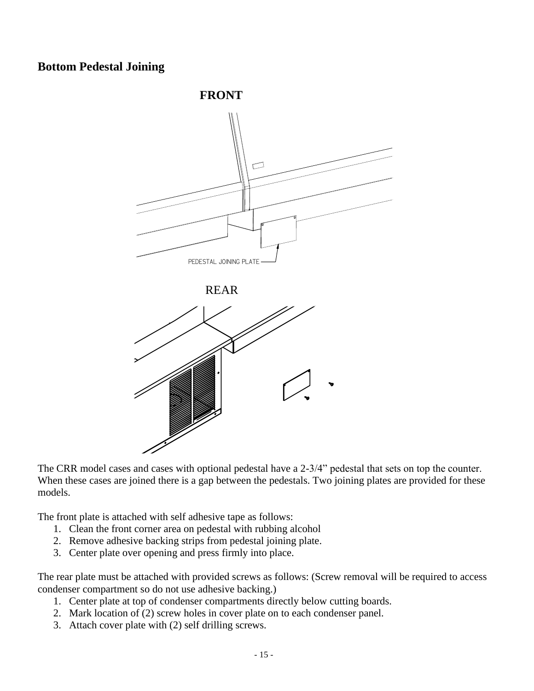### **Bottom Pedestal Joining**



The CRR model cases and cases with optional pedestal have a 2-3/4" pedestal that sets on top the counter. When these cases are joined there is a gap between the pedestals. Two joining plates are provided for these models.

The front plate is attached with self adhesive tape as follows:

- 1. Clean the front corner area on pedestal with rubbing alcohol
- 2. Remove adhesive backing strips from pedestal joining plate.
- 3. Center plate over opening and press firmly into place.

The rear plate must be attached with provided screws as follows: (Screw removal will be required to access condenser compartment so do not use adhesive backing.)

- 1. Center plate at top of condenser compartments directly below cutting boards.
- 2. Mark location of (2) screw holes in cover plate on to each condenser panel.
- 3. Attach cover plate with (2) self drilling screws.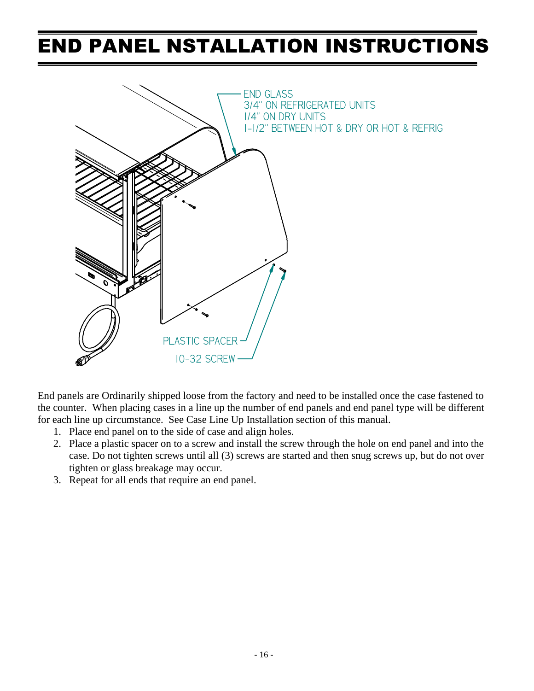### END PANEL NSTALLATION INSTRUCTIONS



End panels are Ordinarily shipped loose from the factory and need to be installed once the case fastened to the counter. When placing cases in a line up the number of end panels and end panel type will be different for each line up circumstance. See Case Line Up Installation section of this manual.

- 1. Place end panel on to the side of case and align holes.
- 2. Place a plastic spacer on to a screw and install the screw through the hole on end panel and into the case. Do not tighten screws until all (3) screws are started and then snug screws up, but do not over tighten or glass breakage may occur.
- 3. Repeat for all ends that require an end panel.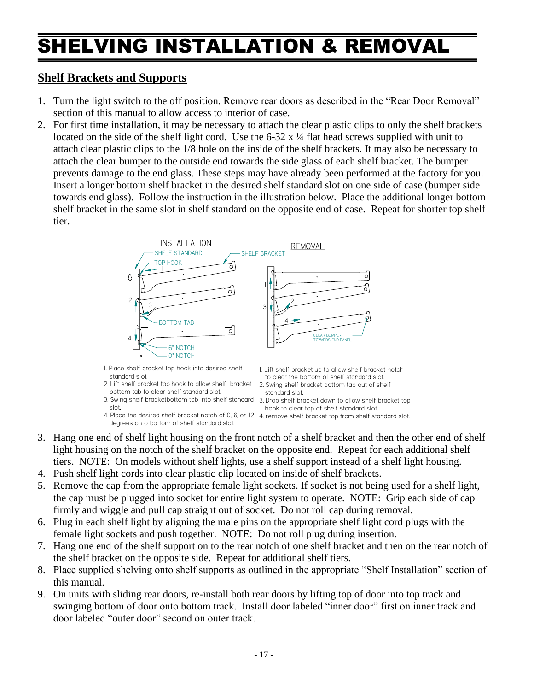## SHELVING INSTALLATION & REMOVAL

### **Shelf Brackets and Supports**

- 1. Turn the light switch to the off position. Remove rear doors as described in the "Rear Door Removal" section of this manual to allow access to interior of case.
- 2. For first time installation, it may be necessary to attach the clear plastic clips to only the shelf brackets located on the side of the shelf light cord. Use the  $6-32 \times \frac{1}{4}$  flat head screws supplied with unit to attach clear plastic clips to the 1/8 hole on the inside of the shelf brackets. It may also be necessary to attach the clear bumper to the outside end towards the side glass of each shelf bracket. The bumper prevents damage to the end glass. These steps may have already been performed at the factory for you. Insert a longer bottom shelf bracket in the desired shelf standard slot on one side of case (bumper side towards end glass). Follow the instruction in the illustration below. Place the additional longer bottom shelf bracket in the same slot in shelf standard on the opposite end of case. Repeat for shorter top shelf tier.



1. Place shelf bracket top hook into desired shelf standard slot.

- 2. Lift shelf bracket top hook to allow shelf bracket bottom tab to clear shelf standard slot.
- 3. Swing shelf bracketbottom tab into shelf standard 3. Drop shelf bracket down to allow shelf bracket top slot.
- 4. Place the desired shelf bracket notch of 0, 6, or 12 4. remove shelf bracket top from shelf standard slot. degrees onto bottom of shelf standard slot.

1. Lift shelf bracket up to allow shelf bracket notch

- to clear the bottom of shelf standard slot.
- 2. Swing shelf bracket bottom tab out of shelf
	- standard slot.
	- hook to clear top of shelf standard slot.
- 
- 3. Hang one end of shelf light housing on the front notch of a shelf bracket and then the other end of shelf light housing on the notch of the shelf bracket on the opposite end. Repeat for each additional shelf tiers. NOTE: On models without shelf lights, use a shelf support instead of a shelf light housing.
- 4. Push shelf light cords into clear plastic clip located on inside of shelf brackets.
- 5. Remove the cap from the appropriate female light sockets. If socket is not being used for a shelf light, the cap must be plugged into socket for entire light system to operate. NOTE: Grip each side of cap firmly and wiggle and pull cap straight out of socket. Do not roll cap during removal.
- 6. Plug in each shelf light by aligning the male pins on the appropriate shelf light cord plugs with the female light sockets and push together. NOTE: Do not roll plug during insertion.
- 7. Hang one end of the shelf support on to the rear notch of one shelf bracket and then on the rear notch of the shelf bracket on the opposite side. Repeat for additional shelf tiers.
- 8. Place supplied shelving onto shelf supports as outlined in the appropriate "Shelf Installation" section of this manual.
- 9. On units with sliding rear doors, re-install both rear doors by lifting top of door into top track and swinging bottom of door onto bottom track. Install door labeled "inner door" first on inner track and door labeled "outer door" second on outer track.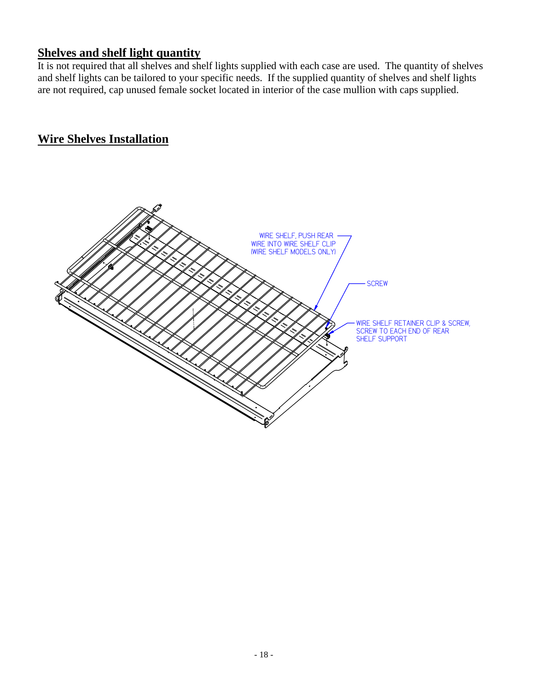### **Shelves and shelf light quantity**

It is not required that all shelves and shelf lights supplied with each case are used. The quantity of shelves and shelf lights can be tailored to your specific needs. If the supplied quantity of shelves and shelf lights are not required, cap unused female socket located in interior of the case mullion with caps supplied.

### **Wire Shelves Installation**

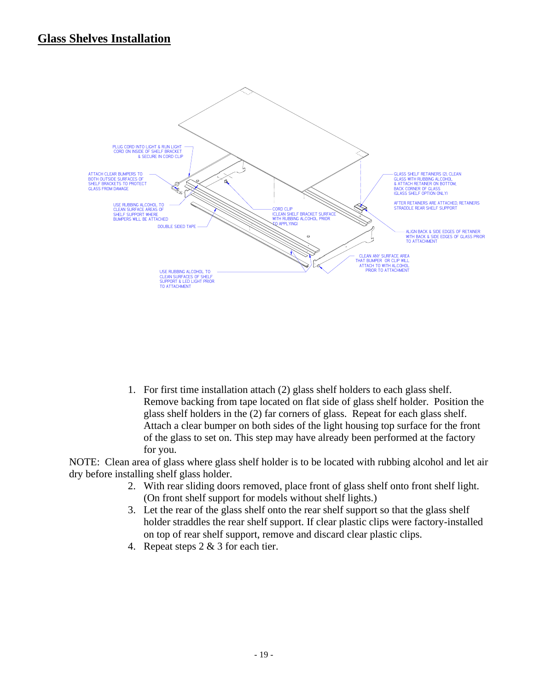### **Glass Shelves Installation**



1. For first time installation attach (2) glass shelf holders to each glass shelf. Remove backing from tape located on flat side of glass shelf holder. Position the glass shelf holders in the (2) far corners of glass. Repeat for each glass shelf. Attach a clear bumper on both sides of the light housing top surface for the front of the glass to set on. This step may have already been performed at the factory for you.

NOTE: Clean area of glass where glass shelf holder is to be located with rubbing alcohol and let air dry before installing shelf glass holder.

- 2. With rear sliding doors removed, place front of glass shelf onto front shelf light. (On front shelf support for models without shelf lights.)
- 3. Let the rear of the glass shelf onto the rear shelf support so that the glass shelf holder straddles the rear shelf support. If clear plastic clips were factory-installed on top of rear shelf support, remove and discard clear plastic clips.
- 4. Repeat steps 2 & 3 for each tier.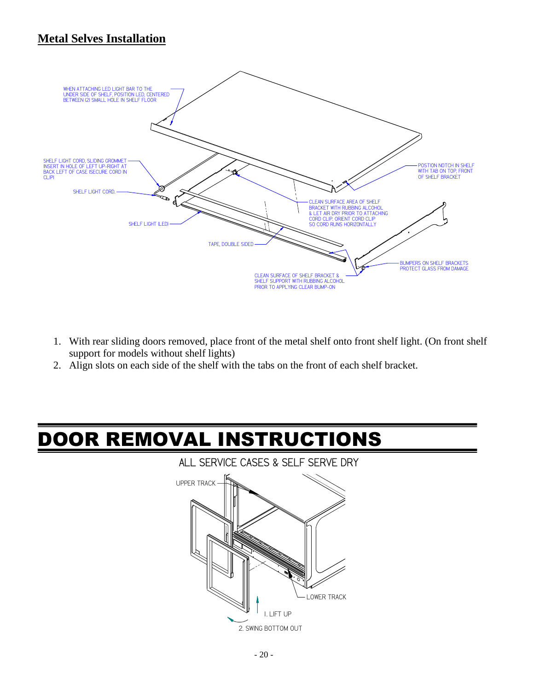### **Metal Selves Installation**



- 1. With rear sliding doors removed, place front of the metal shelf onto front shelf light. (On front shelf support for models without shelf lights)
- 2. Align slots on each side of the shelf with the tabs on the front of each shelf bracket.

# DOOR REMOVAL INSTRUCTIONS

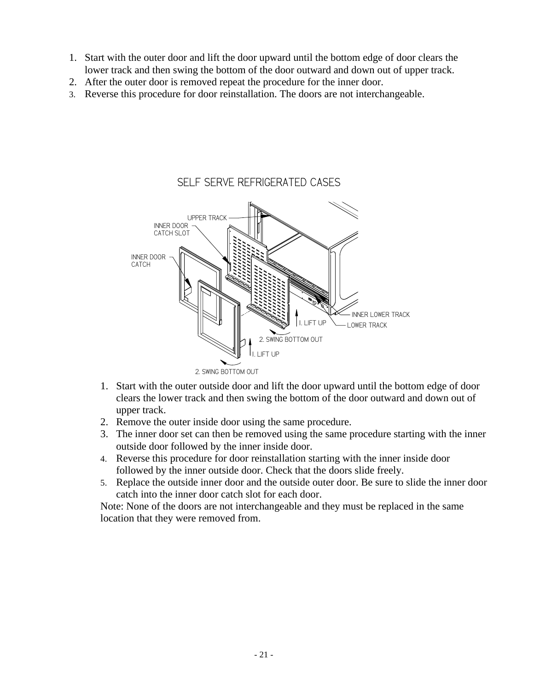- 1. Start with the outer door and lift the door upward until the bottom edge of door clears the lower track and then swing the bottom of the door outward and down out of upper track.
- 2. After the outer door is removed repeat the procedure for the inner door.
- 3. Reverse this procedure for door reinstallation. The doors are not interchangeable.

### 1. LIFT UP 2. SWING BOTTOM OUT SELF SERVE REFRIGERATED CASES T UP 2. SWING BOTTOM OUT UPPER TRACK LOWER TRACK INNER DOOR CATCH INNER DOOR CATCH SLOT INNER LOWER TRACK

- 1. Start with the outer outside door and lift the door upward until the bottom edge of door clears the lower track and then swing the bottom of the door outward and down out of upper track.
- 2. Remove the outer inside door using the same procedure.
- 3. The inner door set can then be removed using the same procedure starting with the inner outside door followed by the inner inside door.
- 4. Reverse this procedure for door reinstallation starting with the inner inside door followed by the inner outside door. Check that the doors slide freely.
- 5. Replace the outside inner door and the outside outer door. Be sure to slide the inner door catch into the inner door catch slot for each door.

Note: None of the doors are not interchangeable and they must be replaced in the same location that they were removed from.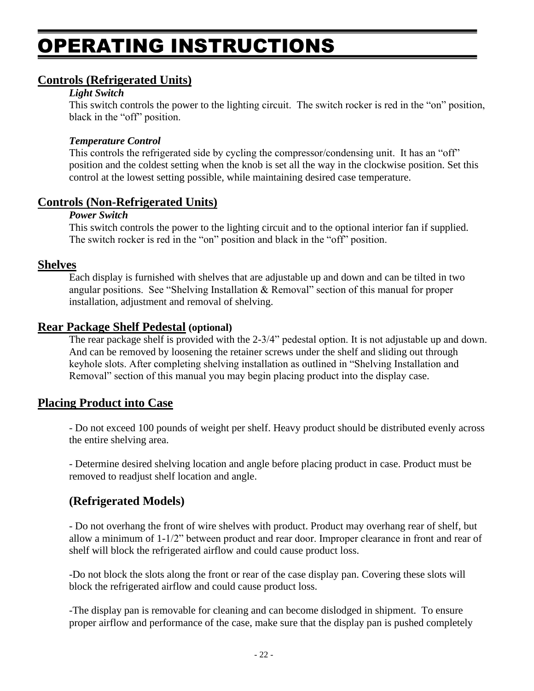## OPERATING INSTRUCTIONS

### **Controls (Refrigerated Units)**

#### *Light Switch*

This switch controls the power to the lighting circuit. The switch rocker is red in the "on" position, black in the "off" position.

#### *Temperature Control*

This controls the refrigerated side by cycling the compressor/condensing unit. It has an "off" position and the coldest setting when the knob is set all the way in the clockwise position. Set this control at the lowest setting possible, while maintaining desired case temperature.

#### **Controls (Non-Refrigerated Units)**

#### *Power Switch*

This switch controls the power to the lighting circuit and to the optional interior fan if supplied. The switch rocker is red in the "on" position and black in the "off" position.

#### **Shelves**

Each display is furnished with shelves that are adjustable up and down and can be tilted in two angular positions. See "Shelving Installation & Removal" section of this manual for proper installation, adjustment and removal of shelving.

### **Rear Package Shelf Pedestal (optional)**

The rear package shelf is provided with the 2-3/4" pedestal option. It is not adjustable up and down. And can be removed by loosening the retainer screws under the shelf and sliding out through keyhole slots. After completing shelving installation as outlined in "Shelving Installation and Removal" section of this manual you may begin placing product into the display case.

### **Placing Product into Case**

- Do not exceed 100 pounds of weight per shelf. Heavy product should be distributed evenly across the entire shelving area.

- Determine desired shelving location and angle before placing product in case. Product must be removed to readjust shelf location and angle.

### **(Refrigerated Models)**

- Do not overhang the front of wire shelves with product. Product may overhang rear of shelf, but allow a minimum of 1-1/2" between product and rear door. Improper clearance in front and rear of shelf will block the refrigerated airflow and could cause product loss.

-Do not block the slots along the front or rear of the case display pan. Covering these slots will block the refrigerated airflow and could cause product loss.

-The display pan is removable for cleaning and can become dislodged in shipment. To ensure proper airflow and performance of the case, make sure that the display pan is pushed completely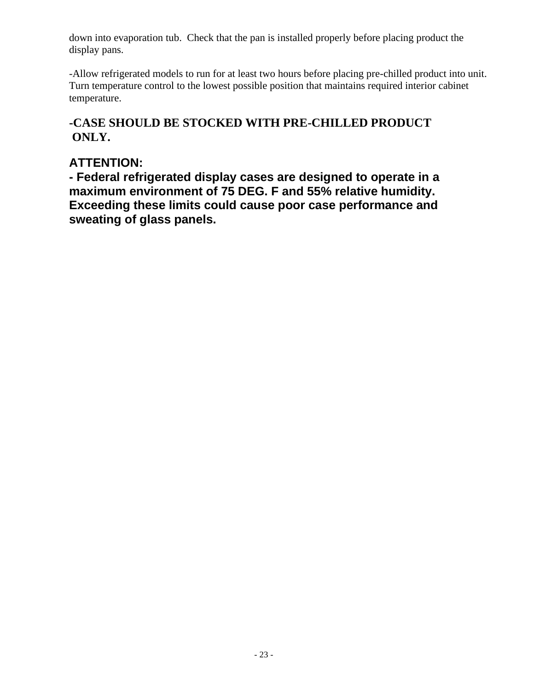down into evaporation tub. Check that the pan is installed properly before placing product the display pans.

-Allow refrigerated models to run for at least two hours before placing pre-chilled product into unit. Turn temperature control to the lowest possible position that maintains required interior cabinet temperature.

### **-CASE SHOULD BE STOCKED WITH PRE-CHILLED PRODUCT ONLY.**

### **ATTENTION:**

**- Federal refrigerated display cases are designed to operate in a maximum environment of 75 DEG. F and 55% relative humidity. Exceeding these limits could cause poor case performance and sweating of glass panels.**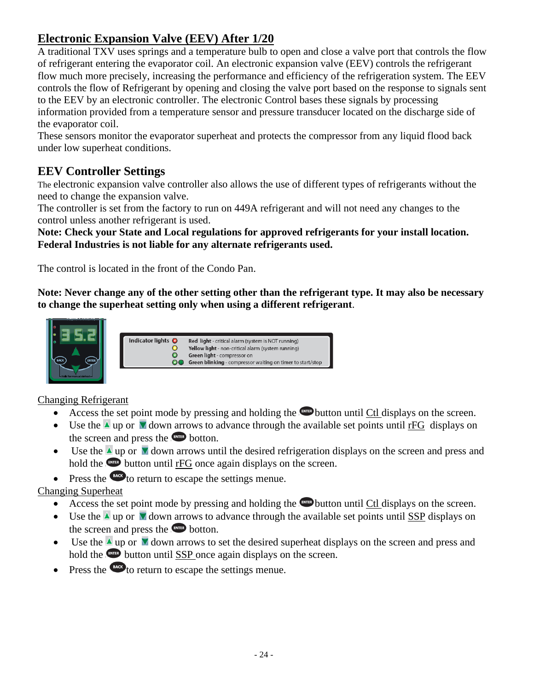### **Electronic Expansion Valve (EEV) After 1/20**

A traditional TXV uses springs and a temperature bulb to open and close a valve port that controls the flow of refrigerant entering the evaporator coil. An electronic expansion valve (EEV) controls the refrigerant flow much more precisely, increasing the performance and efficiency of the refrigeration system. The EEV controls the flow of Refrigerant by opening and closing the valve port based on the response to signals sent to the EEV by an electronic controller. The electronic Control bases these signals by processing information provided from a temperature sensor and pressure transducer located on the discharge side of the evaporator coil.

These sensors monitor the evaporator superheat and protects the compressor from any liquid flood back under low superheat conditions.

### **EEV Controller Settings**

The electronic expansion valve controller also allows the use of different types of refrigerants without the need to change the expansion valve.

The controller is set from the factory to run on 449A refrigerant and will not need any changes to the control unless another refrigerant is used.

**Note: Check your State and Local regulations for approved refrigerants for your install location. Federal Industries is not liable for any alternate refrigerants used.**

The control is located in the front of the Condo Pan.

**Note: Never change any of the other setting other than the refrigerant type. It may also be necessary to change the superheat setting only when using a different refrigerant**.





### Changing Refrigerant

- Access the set point mode by pressing and holding the **Button until Ctl displays on the screen.**
- Use the  $\triangle$  up or  $\nabla$  down arrows to advance through the available set points until rFG displays on the screen and press the **computer** botton.
- Use the  $\triangle$  up or  $\triangle$  down arrows until the desired refrigeration displays on the screen and press and hold the **button until rFG** once again displays on the screen.
- Press the  $\epsilon$  to return to escape the settings menue.

### Changing Superheat

- Access the set point mode by pressing and holding the  $f(x)$  button until Ctl displays on the screen.
- Use the  $\triangle$  up or  $\triangle$  down arrows to advance through the available set points until SSP displays on the screen and press the **ENTER** botton.
- Use the  $\triangle$  up or  $\nabla$  down arrows to set the desired superheat displays on the screen and press and hold the **button until SSP** once again displays on the screen.
- Press the  $\epsilon_{\text{max}}$  to return to escape the settings menue.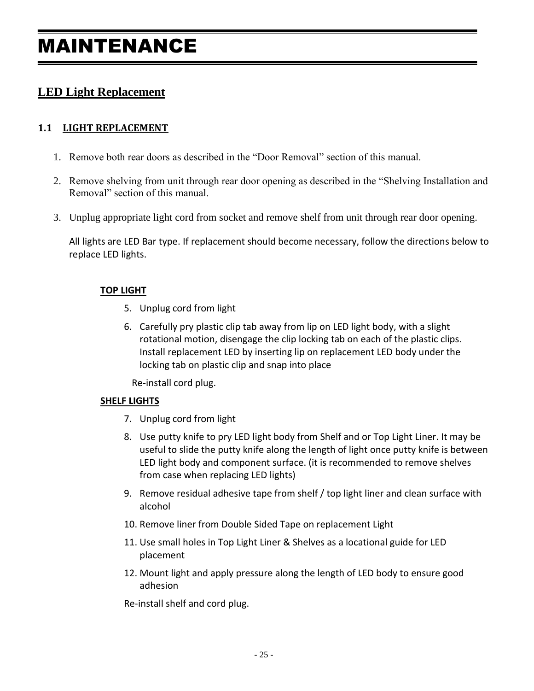### MAINTENANCE

### **LED Light Replacement**

### **1.1 LIGHT REPLACEMENT**

- 1. Remove both rear doors as described in the "Door Removal" section of this manual.
- 2. Remove shelving from unit through rear door opening as described in the "Shelving Installation and Removal" section of this manual.
- 3. Unplug appropriate light cord from socket and remove shelf from unit through rear door opening.

All lights are LED Bar type. If replacement should become necessary, follow the directions below to replace LED lights.

#### **TOP LIGHT**

- 5. Unplug cord from light
- 6. Carefully pry plastic clip tab away from lip on LED light body, with a slight rotational motion, disengage the clip locking tab on each of the plastic clips. Install replacement LED by inserting lip on replacement LED body under the locking tab on plastic clip and snap into place

Re-install cord plug.

#### **SHELF LIGHTS**

- 7. Unplug cord from light
- 8. Use putty knife to pry LED light body from Shelf and or Top Light Liner. It may be useful to slide the putty knife along the length of light once putty knife is between LED light body and component surface. (it is recommended to remove shelves from case when replacing LED lights)
- 9. Remove residual adhesive tape from shelf / top light liner and clean surface with alcohol
- 10. Remove liner from Double Sided Tape on replacement Light
- 11. Use small holes in Top Light Liner & Shelves as a locational guide for LED placement
- 12. Mount light and apply pressure along the length of LED body to ensure good adhesion

Re-install shelf and cord plug.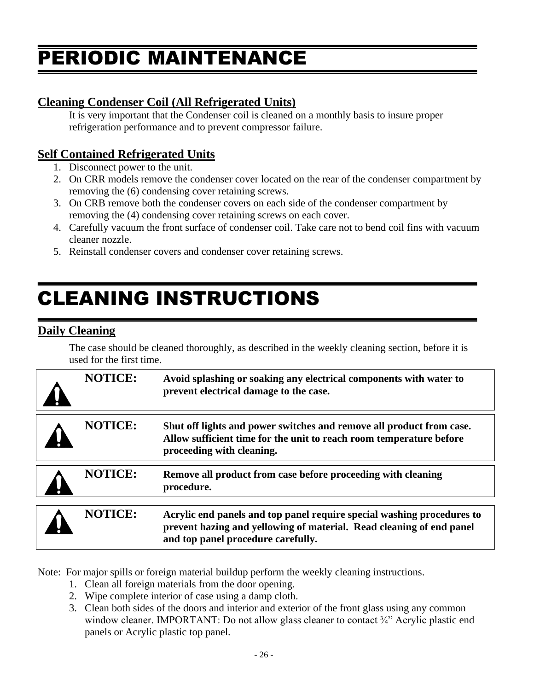## PERIODIC MAINTENANCE

### **Cleaning Condenser Coil (All Refrigerated Units)**

It is very important that the Condenser coil is cleaned on a monthly basis to insure proper refrigeration performance and to prevent compressor failure.

### **Self Contained Refrigerated Units**

- 1. Disconnect power to the unit.
- 2. On CRR models remove the condenser cover located on the rear of the condenser compartment by removing the (6) condensing cover retaining screws.
- 3. On CRB remove both the condenser covers on each side of the condenser compartment by removing the (4) condensing cover retaining screws on each cover.
- 4. Carefully vacuum the front surface of condenser coil. Take care not to bend coil fins with vacuum cleaner nozzle.
- 5. Reinstall condenser covers and condenser cover retaining screws.

## CLEANING INSTRUCTIONS

### **Daily Cleaning**

The case should be cleaned thoroughly, as described in the weekly cleaning section, before it is used for the first time.

| <b>NOTICE:</b> | Avoid splashing or soaking any electrical components with water to<br>prevent electrical damage to the case.                                                                         |
|----------------|--------------------------------------------------------------------------------------------------------------------------------------------------------------------------------------|
| <b>NOTICE:</b> | Shut off lights and power switches and remove all product from case.<br>Allow sufficient time for the unit to reach room temperature before<br>proceeding with cleaning.             |
| <b>NOTICE:</b> | Remove all product from case before proceeding with cleaning<br>procedure.                                                                                                           |
| <b>NOTICE:</b> | Acrylic end panels and top panel require special washing procedures to<br>prevent hazing and yellowing of material. Read cleaning of end panel<br>and top panel procedure carefully. |

Note: For major spills or foreign material buildup perform the weekly cleaning instructions.

- 1. Clean all foreign materials from the door opening.
- 2. Wipe complete interior of case using a damp cloth.
- 3. Clean both sides of the doors and interior and exterior of the front glass using any common window cleaner. IMPORTANT: Do not allow glass cleaner to contact 3/4" Acrylic plastic end panels or Acrylic plastic top panel.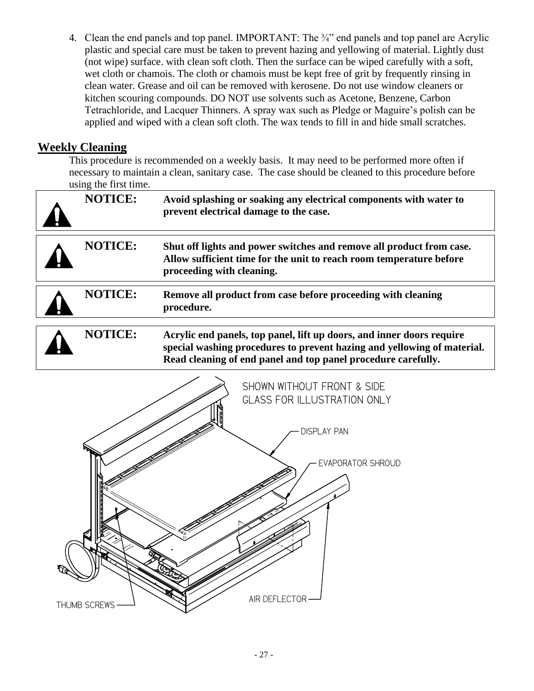4. Clean the end panels and top panel. IMPORTANT: The 3/4" end panels and top panel are Acrylic plastic and special care must be taken to prevent hazing and yellowing of material. Lightly dust (not wipe) surface. with clean soft cloth. Then the surface can be wiped carefully with a soft, wet cloth or chamois. The cloth or chamois must be kept free of grit by frequently rinsing in clean water. Grease and oil can be removed with kerosene. Do not use window cleaners or kitchen scouring compounds. DO NOT use solvents such as Acetone, Benzene, Carbon Tetrachloride, and Lacquer Thinners. A spray wax such as Pledge or Maguire's polish can be applied and wiped with a clean soft cloth. The wax tends to fill in and hide small scratches.

### **Weekly Cleaning**

This procedure is recommended on a weekly basis. It may need to be performed more often if necessary to maintain a clean, sanitary case. The case should be cleaned to this procedure before using the first time.

| <b>NOTICE:</b> | Avoid splashing or soaking any electrical components with water to<br>prevent electrical damage to the case.                                                                                                      |  |  |  |
|----------------|-------------------------------------------------------------------------------------------------------------------------------------------------------------------------------------------------------------------|--|--|--|
| <b>NOTICE:</b> | Shut off lights and power switches and remove all product from case.<br>Allow sufficient time for the unit to reach room temperature before<br>proceeding with cleaning.                                          |  |  |  |
| <b>NOTICE:</b> | Remove all product from case before proceeding with cleaning<br>procedure.                                                                                                                                        |  |  |  |
| <b>NOTICE:</b> | Acrylic end panels, top panel, lift up doors, and inner doors require<br>special washing procedures to prevent hazing and yellowing of material.<br>Read cleaning of end panel and top panel procedure carefully. |  |  |  |
|                | SHOWN WITHOUT FRONT & SIDE<br><b>GLASS FOR ILLUSTRATION ONLY</b>                                                                                                                                                  |  |  |  |

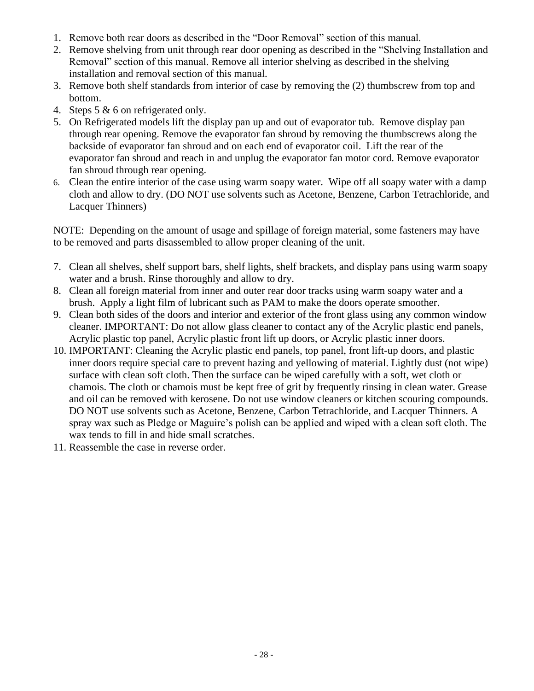- 1. Remove both rear doors as described in the "Door Removal" section of this manual.
- 2. Remove shelving from unit through rear door opening as described in the "Shelving Installation and Removal" section of this manual. Remove all interior shelving as described in the shelving installation and removal section of this manual.
- 3. Remove both shelf standards from interior of case by removing the (2) thumbscrew from top and bottom.
- 4. Steps 5 & 6 on refrigerated only.
- 5. On Refrigerated models lift the display pan up and out of evaporator tub. Remove display pan through rear opening. Remove the evaporator fan shroud by removing the thumbscrews along the backside of evaporator fan shroud and on each end of evaporator coil. Lift the rear of the evaporator fan shroud and reach in and unplug the evaporator fan motor cord. Remove evaporator fan shroud through rear opening.
- 6. Clean the entire interior of the case using warm soapy water. Wipe off all soapy water with a damp cloth and allow to dry. (DO NOT use solvents such as Acetone, Benzene, Carbon Tetrachloride, and Lacquer Thinners)

NOTE: Depending on the amount of usage and spillage of foreign material, some fasteners may have to be removed and parts disassembled to allow proper cleaning of the unit.

- 7. Clean all shelves, shelf support bars, shelf lights, shelf brackets, and display pans using warm soapy water and a brush. Rinse thoroughly and allow to dry.
- 8. Clean all foreign material from inner and outer rear door tracks using warm soapy water and a brush. Apply a light film of lubricant such as PAM to make the doors operate smoother.
- 9. Clean both sides of the doors and interior and exterior of the front glass using any common window cleaner. IMPORTANT: Do not allow glass cleaner to contact any of the Acrylic plastic end panels, Acrylic plastic top panel, Acrylic plastic front lift up doors, or Acrylic plastic inner doors.
- 10. IMPORTANT: Cleaning the Acrylic plastic end panels, top panel, front lift-up doors, and plastic inner doors require special care to prevent hazing and yellowing of material. Lightly dust (not wipe) surface with clean soft cloth. Then the surface can be wiped carefully with a soft, wet cloth or chamois. The cloth or chamois must be kept free of grit by frequently rinsing in clean water. Grease and oil can be removed with kerosene. Do not use window cleaners or kitchen scouring compounds. DO NOT use solvents such as Acetone, Benzene, Carbon Tetrachloride, and Lacquer Thinners. A spray wax such as Pledge or Maguire's polish can be applied and wiped with a clean soft cloth. The wax tends to fill in and hide small scratches.
- 11. Reassemble the case in reverse order.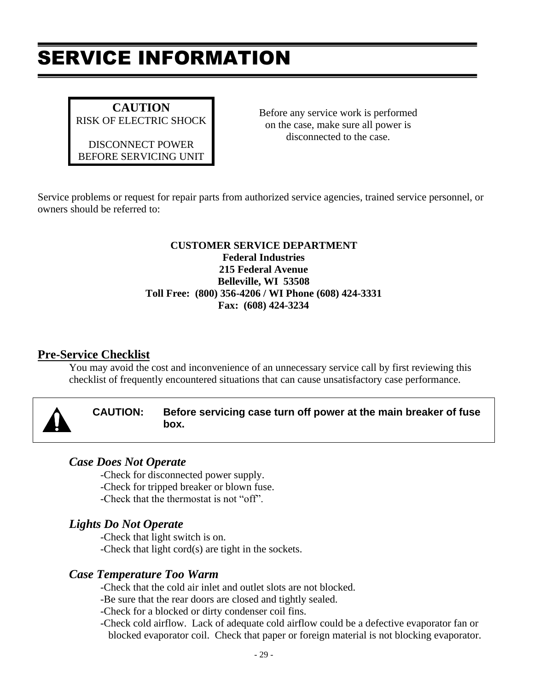## SERVICE INFORMATION

**CAUTION** RISK OF ELECTRIC SHOCK

DISCONNECT POWER BEFORE SERVICING UNIT Before any service work is performed on the case, make sure all power is disconnected to the case.

Service problems or request for repair parts from authorized service agencies, trained service personnel, or owners should be referred to:

#### **CUSTOMER SERVICE DEPARTMENT Federal Industries 215 Federal Avenue Belleville, WI 53508 Toll Free: (800) 356-4206 / WI Phone (608) 424-3331 Fax: (608) 424-3234**

### **Pre-Service Checklist**

You may avoid the cost and inconvenience of an unnecessary service call by first reviewing this checklist of frequently encountered situations that can cause unsatisfactory case performance.

|  |  | CAUTION: Before servicing case turn off power at the main breaker of fuse<br>box. |
|--|--|-----------------------------------------------------------------------------------|
|--|--|-----------------------------------------------------------------------------------|

### *Case Does Not Operate*

-Check for disconnected power supply.

- -Check for tripped breaker or blown fuse.
- -Check that the thermostat is not "off".

### *Lights Do Not Operate*

-Check that light switch is on. -Check that light cord(s) are tight in the sockets.

### *Case Temperature Too Warm*

-Check that the cold air inlet and outlet slots are not blocked.

-Be sure that the rear doors are closed and tightly sealed.

-Check for a blocked or dirty condenser coil fins.

-Check cold airflow. Lack of adequate cold airflow could be a defective evaporator fan or blocked evaporator coil. Check that paper or foreign material is not blocking evaporator.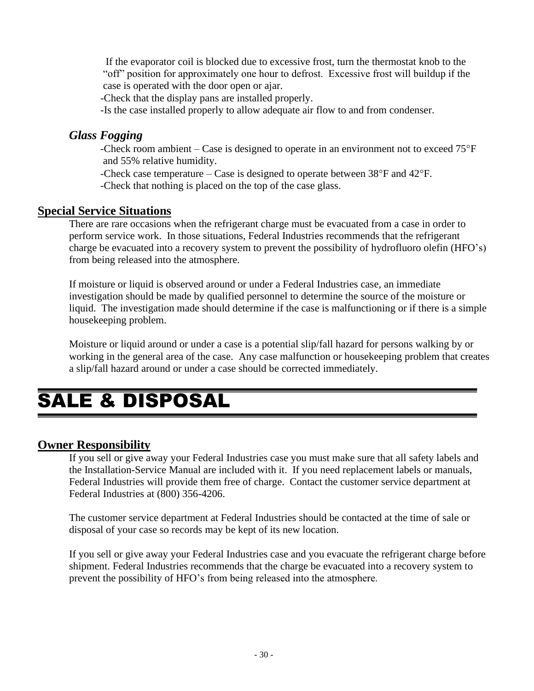If the evaporator coil is blocked due to excessive frost, turn the thermostat knob to the "off" position for approximately one hour to defrost. Excessive frost will buildup if the case is operated with the door open or ajar.

-Check that the display pans are installed properly.

-Is the case installed properly to allow adequate air flow to and from condenser.

### *Glass Fogging*

-Check room ambient – Case is designed to operate in an environment not to exceed  $75^{\circ}F$ and 55% relative humidity.

-Check case temperature – Case is designed to operate between  $38^{\circ}$ F and  $42^{\circ}$ F.

-Check that nothing is placed on the top of the case glass.

### **Special Service Situations**

There are rare occasions when the refrigerant charge must be evacuated from a case in order to perform service work. In those situations, Federal Industries recommends that the refrigerant charge be evacuated into a recovery system to prevent the possibility of hydrofluoro olefin (HFO's) from being released into the atmosphere.

If moisture or liquid is observed around or under a Federal Industries case, an immediate investigation should be made by qualified personnel to determine the source of the moisture or liquid. The investigation made should determine if the case is malfunctioning or if there is a simple housekeeping problem.

Moisture or liquid around or under a case is a potential slip/fall hazard for persons walking by or working in the general area of the case. Any case malfunction or housekeeping problem that creates a slip/fall hazard around or under a case should be corrected immediately.

### SALE & DISPOSAL

### **Owner Responsibility**

If you sell or give away your Federal Industries case you must make sure that all safety labels and the Installation-Service Manual are included with it. If you need replacement labels or manuals, Federal Industries will provide them free of charge. Contact the customer service department at Federal Industries at (800) 356-4206.

The customer service department at Federal Industries should be contacted at the time of sale or disposal of your case so records may be kept of its new location.

If you sell or give away your Federal Industries case and you evacuate the refrigerant charge before shipment. Federal Industries recommends that the charge be evacuated into a recovery system to prevent the possibility of HFO's from being released into the atmosphere.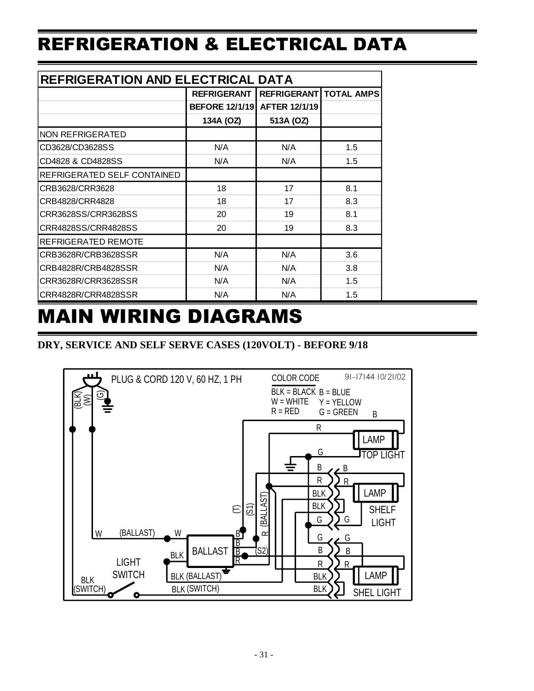## REFRIGERATION & ELECTRICAL DATA

| REFRIGERATION AND ELECTRICAL DATA |                       |                      |                   |  |  |
|-----------------------------------|-----------------------|----------------------|-------------------|--|--|
|                                   | <b>REFRIGERANT</b>    | <b>REFRIGERANT</b>   | <b>TOTAL AMPS</b> |  |  |
|                                   | <b>BEFORE 12/1/19</b> | <b>AFTER 12/1/19</b> |                   |  |  |
|                                   | 134A (OZ)             | 513A (OZ)            |                   |  |  |
| NON REFRIGERATED                  |                       |                      |                   |  |  |
| CD3628/CD3628SS                   | N/A                   | N/A                  | 1.5               |  |  |
| CD4828 & CD4828SS                 | N/A                   | N/A                  | 1.5               |  |  |
| REFRIGERATED SELF CONTAINED       |                       |                      |                   |  |  |
| CRB3628/CRR3628                   | 18                    | 17                   | 8.1               |  |  |
| CRB4828/CRR4828                   | 18                    | 17                   | 8.3               |  |  |
| CRR3628SS/CRR3628SS               | 20                    | 19                   | 8.1               |  |  |
| CRR4828SS/CRR4828SS               | 20                    | 19                   | 8.3               |  |  |
| REFRIGERATED REMOTE               |                       |                      |                   |  |  |
| CRB3628R/CRB3628SSR               | N/A                   | N/A                  | 3.6               |  |  |
| CRB4828R/CRB4828SSR               | N/A                   | N/A                  | 3.8               |  |  |
| CRR3628R/CRR3628SSR               | N/A                   | N/A                  | 1.5               |  |  |
| CRR4828R/CRR4828SSR               | N/A                   | N/A                  | 1.5               |  |  |

## MAIN WIRING DIAGRAMS

### **DRY, SERVICE AND SELF SERVE CASES (120VOLT) - BEFORE 9/18**

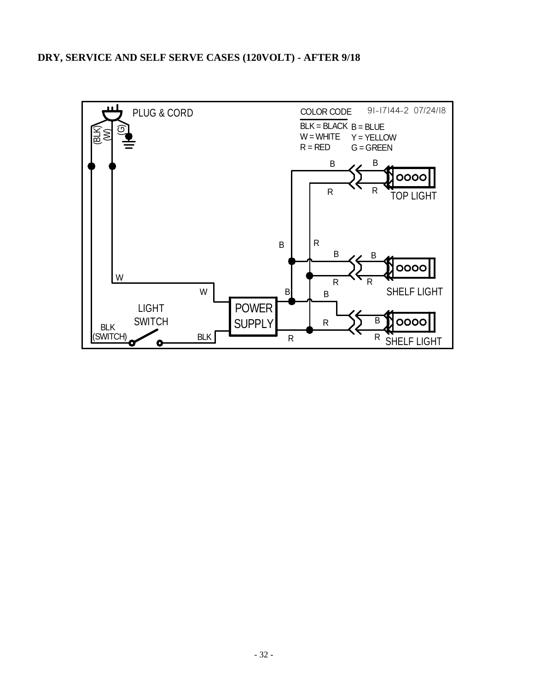#### **DRY, SERVICE AND SELF SERVE CASES (120VOLT) - AFTER 9/18**

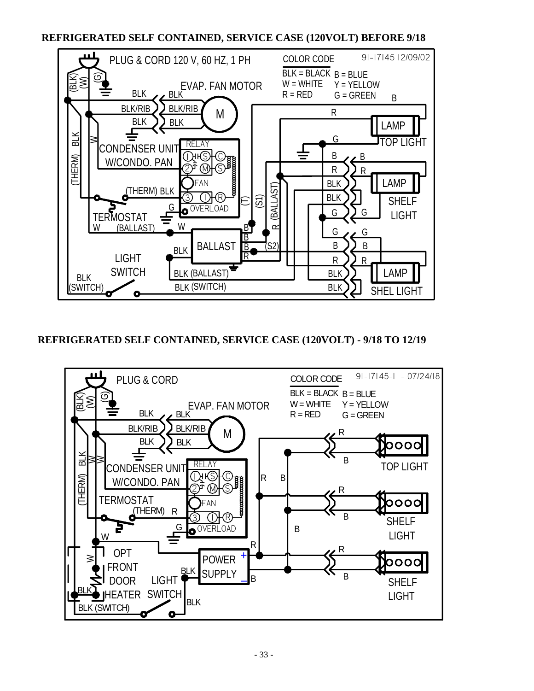#### **REFRIGERATED SELF CONTAINED, SERVICE CASE (120VOLT) BEFORE 9/18**



#### **REFRIGERATED SELF CONTAINED, SERVICE CASE (120VOLT) - 9/18 TO 12/19**

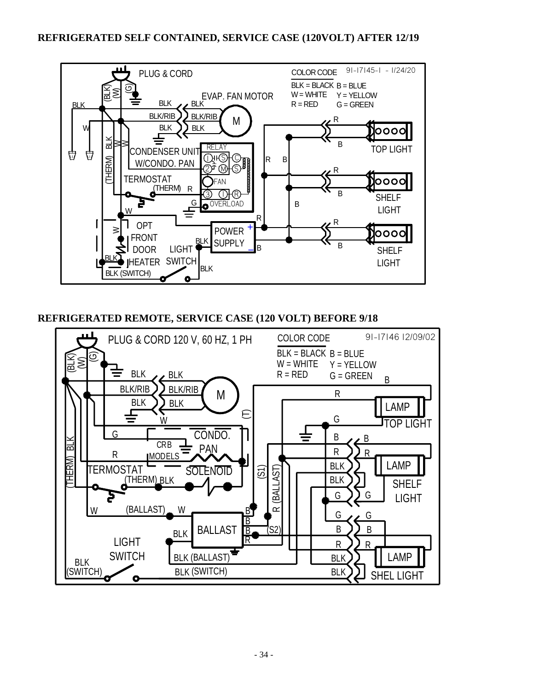

**REFRIGERATED REMOTE, SERVICE CASE (120 VOLT) BEFORE 9/18**

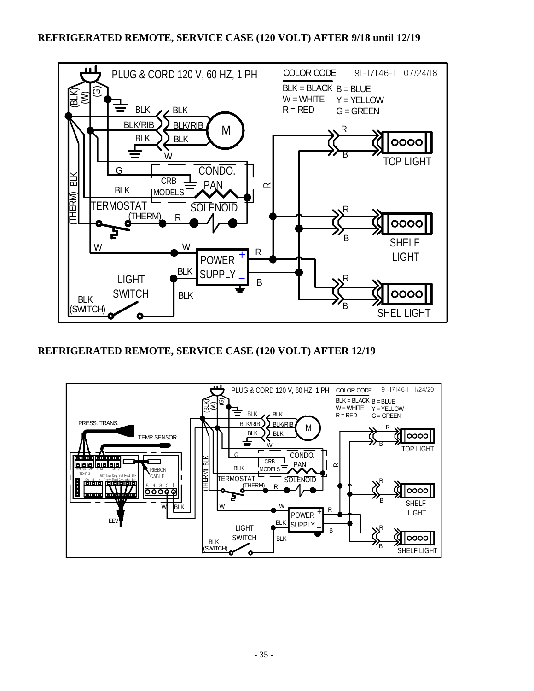

**REFRIGERATED REMOTE, SERVICE CASE (120 VOLT) AFTER 12/19**

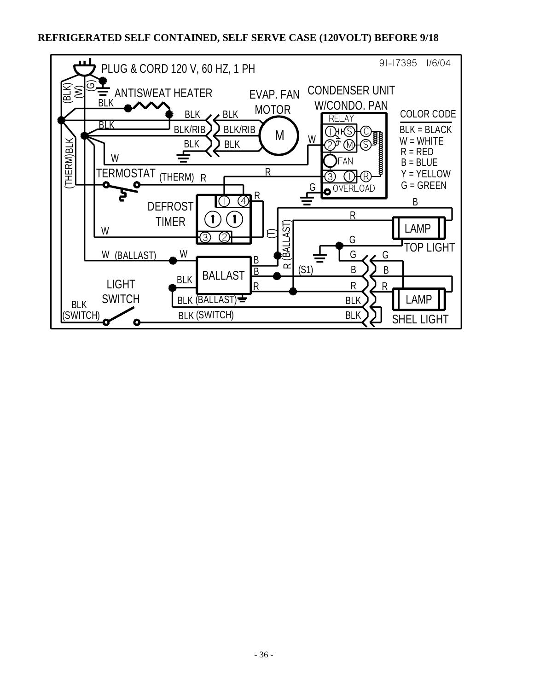#### **REFRIGERATED SELF CONTAINED, SELF SERVE CASE (120VOLT) BEFORE 9/18**

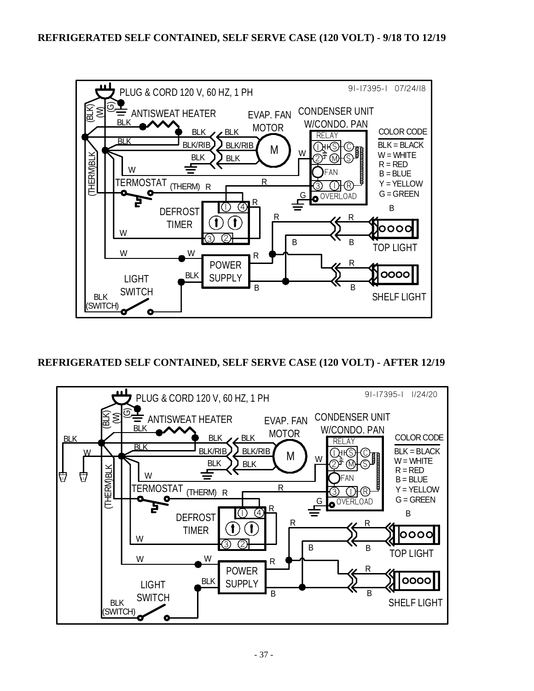

### **REFRIGERATED SELF CONTAINED, SELF SERVE CASE (120 VOLT) - AFTER 12/19**

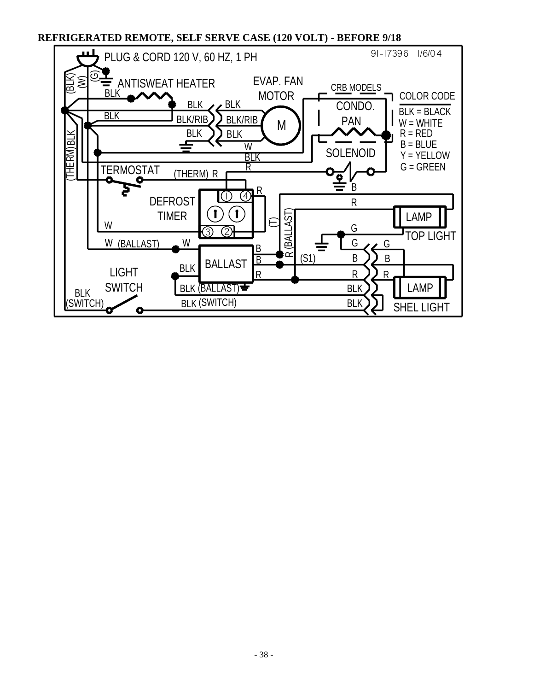**REFRIGERATED REMOTE, SELF SERVE CASE (120 VOLT) - BEFORE 9/18**

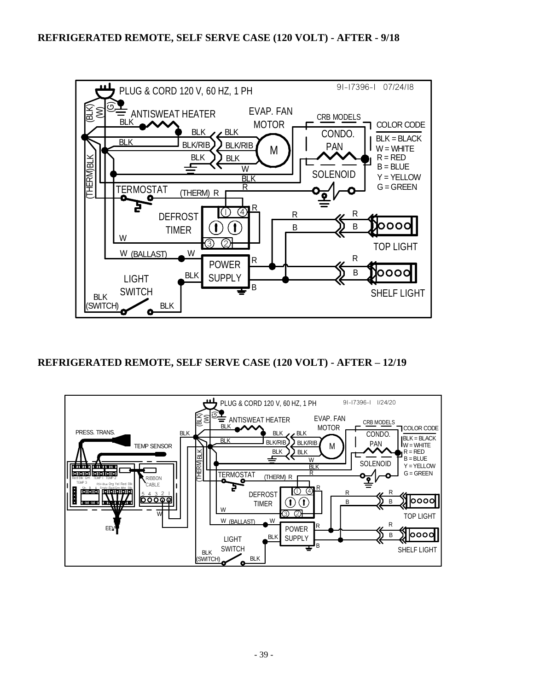

**REFRIGERATED REMOTE, SELF SERVE CASE (120 VOLT) - AFTER – 12/19**

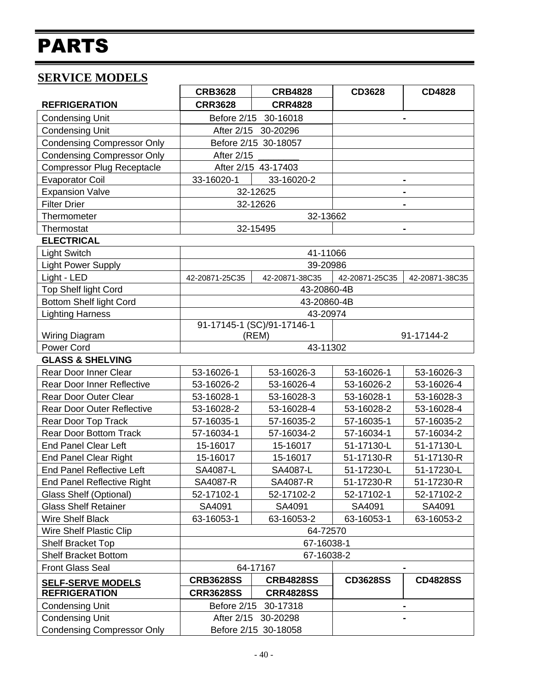# PARTS

### **SERVICE MODELS**

|                                   | <b>CRB3628</b>                      | <b>CRB4828</b>       | <b>CD3628</b>   | <b>CD4828</b>   |
|-----------------------------------|-------------------------------------|----------------------|-----------------|-----------------|
| <b>REFRIGERATION</b>              | <b>CRR3628</b>                      | <b>CRR4828</b>       |                 |                 |
| <b>Condensing Unit</b>            | Before 2/15<br>30-16018             |                      |                 | $\blacksquare$  |
| <b>Condensing Unit</b>            |                                     | After 2/15 30-20296  |                 |                 |
| <b>Condensing Compressor Only</b> |                                     | Before 2/15 30-18057 |                 |                 |
| <b>Condensing Compressor Only</b> | <b>After 2/15</b>                   |                      |                 |                 |
| <b>Compressor Plug Receptacle</b> |                                     | After 2/15 43-17403  |                 |                 |
| <b>Evaporator Coil</b>            | 33-16020-1                          | 33-16020-2           |                 |                 |
| <b>Expansion Valve</b>            |                                     | 32-12625             |                 | $\blacksquare$  |
| <b>Filter Drier</b>               |                                     | 32-12626             |                 |                 |
| Thermometer                       |                                     | 32-13662             |                 |                 |
| Thermostat                        |                                     | 32-15495             |                 |                 |
| <b>ELECTRICAL</b>                 |                                     |                      |                 |                 |
| <b>Light Switch</b>               |                                     | 41-11066             |                 |                 |
| <b>Light Power Supply</b>         |                                     | 39-20986             |                 |                 |
| Light - LED                       | 42-20871-25C35                      | 42-20871-38C35       | 42-20871-25C35  | 42-20871-38C35  |
| <b>Top Shelf light Cord</b>       |                                     | 43-20860-4B          |                 |                 |
| <b>Bottom Shelf light Cord</b>    |                                     | 43-20860-4B          |                 |                 |
| <b>Lighting Harness</b>           |                                     | 43-20974             |                 |                 |
| Wiring Diagram                    | 91-17145-1 (SC)/91-17146-1<br>(REM) |                      | 91-17144-2      |                 |
| <b>Power Cord</b>                 | 43-11302                            |                      |                 |                 |
| <b>GLASS &amp; SHELVING</b>       |                                     |                      |                 |                 |
| Rear Door Inner Clear             | 53-16026-1                          | 53-16026-3           | 53-16026-1      | 53-16026-3      |
| <b>Rear Door Inner Reflective</b> | 53-16026-2                          | 53-16026-4           | 53-16026-2      | 53-16026-4      |
| <b>Rear Door Outer Clear</b>      | 53-16028-1                          | 53-16028-3           | 53-16028-1      | 53-16028-3      |
| <b>Rear Door Outer Reflective</b> | 53-16028-2                          | 53-16028-4           | 53-16028-2      | 53-16028-4      |
| Rear Door Top Track               | 57-16035-1                          | 57-16035-2           | 57-16035-1      | 57-16035-2      |
| <b>Rear Door Bottom Track</b>     | 57-16034-1                          | 57-16034-2           | 57-16034-1      | 57-16034-2      |
| <b>End Panel Clear Left</b>       | 15-16017                            | 15-16017             | 51-17130-L      | 51-17130-L      |
| <b>End Panel Clear Right</b>      | 15-16017                            | 15-16017             | 51-17130-R      | 51-17130-R      |
| <b>End Panel Reflective Left</b>  | SA4087-L                            | SA4087-L             | 51-17230-L      | 51-17230-L      |
| <b>End Panel Reflective Right</b> | SA4087-R                            | SA4087-R             | 51-17230-R      | 51-17230-R      |
| Glass Shelf (Optional)            | 52-17102-1                          | 52-17102-2           | 52-17102-1      | 52-17102-2      |
| <b>Glass Shelf Retainer</b>       | SA4091                              | SA4091               | SA4091          | SA4091          |
| <b>Wire Shelf Black</b>           | 63-16053-1                          | 63-16053-2           | 63-16053-1      | 63-16053-2      |
| <b>Wire Shelf Plastic Clip</b>    | 64-72570                            |                      |                 |                 |
| <b>Shelf Bracket Top</b>          |                                     | 67-16038-1           |                 |                 |
| <b>Shelf Bracket Bottom</b>       | 67-16038-2                          |                      |                 |                 |
| <b>Front Glass Seal</b>           | 64-17167                            |                      |                 |                 |
| <b>SELF-SERVE MODELS</b>          | <b>CRB3628SS</b>                    | <b>CRB4828SS</b>     | <b>CD3628SS</b> | <b>CD4828SS</b> |
| <b>REFRIGERATION</b>              | <b>CRR3628SS</b>                    | <b>CRR4828SS</b>     |                 |                 |
| <b>Condensing Unit</b>            | Before 2/15                         | 30-17318             |                 |                 |
| <b>Condensing Unit</b>            |                                     | After 2/15 30-20298  |                 |                 |
| <b>Condensing Compressor Only</b> |                                     | Before 2/15 30-18058 |                 |                 |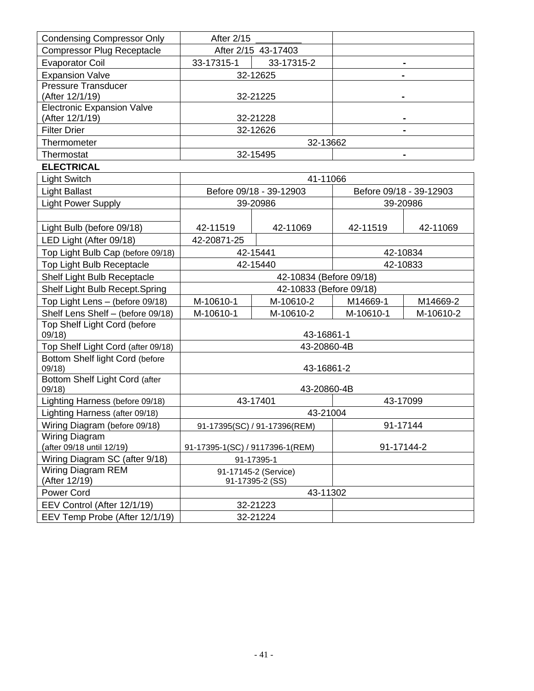| <b>Condensing Compressor Only</b>        | After 2/15                      |                         |                |                         |
|------------------------------------------|---------------------------------|-------------------------|----------------|-------------------------|
| <b>Compressor Plug Receptacle</b>        | After 2/15 43-17403             |                         |                |                         |
| <b>Evaporator Coil</b>                   | 33-17315-1<br>33-17315-2        |                         |                |                         |
| <b>Expansion Valve</b>                   | 32-12625                        |                         | $\blacksquare$ |                         |
| <b>Pressure Transducer</b>               |                                 |                         |                |                         |
| (After 12/1/19)                          |                                 | 32-21225                |                |                         |
| <b>Electronic Expansion Valve</b>        |                                 |                         |                |                         |
| (After 12/1/19)                          |                                 | 32-21228                |                |                         |
| <b>Filter Drier</b>                      |                                 | 32-12626                |                |                         |
| Thermometer                              |                                 | 32-13662                |                |                         |
| Thermostat                               |                                 | 32-15495                |                |                         |
| <b>ELECTRICAL</b>                        |                                 |                         |                |                         |
| <b>Light Switch</b>                      |                                 | 41-11066                |                |                         |
| <b>Light Ballast</b>                     |                                 | Before 09/18 - 39-12903 |                | Before 09/18 - 39-12903 |
| <b>Light Power Supply</b>                |                                 | 39-20986                |                | 39-20986                |
|                                          |                                 |                         |                |                         |
| Light Bulb (before 09/18)                | 42-11519                        | 42-11069                | 42-11519       | 42-11069                |
| LED Light (After 09/18)                  | 42-20871-25                     |                         |                |                         |
| Top Light Bulb Cap (before 09/18)        |                                 | 42-15441                | 42-10834       |                         |
| Top Light Bulb Receptacle                |                                 | 42-15440                | 42-10833       |                         |
| Shelf Light Bulb Receptacle              | 42-10834 (Before 09/18)         |                         |                |                         |
| Shelf Light Bulb Recept.Spring           |                                 | 42-10833 (Before 09/18) |                |                         |
| Top Light Lens - (before 09/18)          | M-10610-1<br>M-10610-2          |                         | M14669-1       | M14669-2                |
| Shelf Lens Shelf - (before 09/18)        | M-10610-1                       | M-10610-2               | M-10610-1      | M-10610-2               |
| Top Shelf Light Cord (before<br>09/18    |                                 | 43-16861-1              |                |                         |
| Top Shelf Light Cord (after 09/18)       |                                 | 43-20860-4B             |                |                         |
| Bottom Shelf light Cord (before<br>09/18 |                                 | 43-16861-2              |                |                         |
| Bottom Shelf Light Cord (after<br>09/18  |                                 | 43-20860-4B             |                |                         |
| Lighting Harness (before 09/18)          | 43-17401                        |                         |                | 43-17099                |
| Lighting Harness (after 09/18)           | 43-21004                        |                         |                |                         |
| Wiring Diagram (before 09/18)            | 91-17395(SC) / 91-17396(REM)    |                         | 91-17144       |                         |
| Wiring Diagram                           |                                 |                         |                |                         |
| (after 09/18 until 12/19)                | 91-17395-1(SC) / 9117396-1(REM) |                         | 91-17144-2     |                         |
| Wiring Diagram SC (after 9/18)           | 91-17395-1                      |                         |                |                         |
| Wiring Diagram REM                       | 91-17145-2 (Service)            |                         |                |                         |
| (After 12/19)                            | 91-17395-2 (SS)                 |                         |                |                         |
| <b>Power Cord</b>                        | 43-11302                        |                         |                |                         |
| EEV Control (After 12/1/19)              | 32-21223                        |                         |                |                         |
| EEV Temp Probe (After 12/1/19)           |                                 | 32-21224                |                |                         |